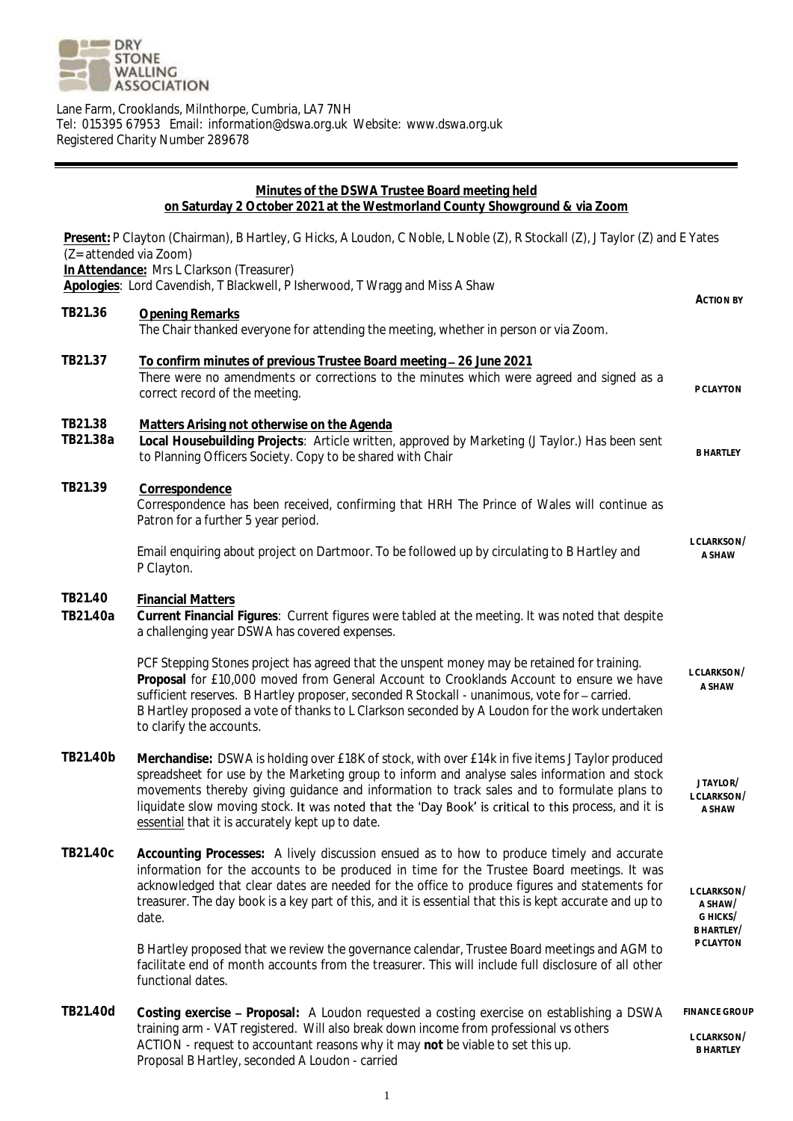

Lane Farm, Crooklands, Milnthorpe, Cumbria, LA7 7NH Tel: 015395 67953 Email: information@dswa.org.uk Website: www.dswa.org.uk Registered Charity Number 289678

## **Minutes of the DSWA Trustee Board meeting held on Saturday 2 October 2021 at the Westmorland County Showground & via Zoom Present:** P Clayton (Chairman), B Hartley, G Hicks, A Loudon, C Noble, L Noble (Z), R Stockall (Z), J Taylor (Z) and E Yates (Z= attended via Zoom) **In Attendance:** Mrs L Clarkson (Treasurer) **Apologies**: Lord Cavendish, T Blackwell, P Isherwood, T Wragg and Miss A Shaw **ACTION BY TB21.36 Opening Remarks** The Chair thanked everyone for attending the meeting, whether in person or via Zoom. **TB21.37 To confirm minutes of previous Trustee Board meeting 26 June 2021** There were no amendments or corrections to the minutes which were agreed and signed as a correct record of the meeting. **PCLAYTON TB21.38 Matters Arising not otherwise on the Agenda TB21.38a Local Housebuilding Projects**: Article written, approved by Marketing (J Taylor.) Has been sent to Planning Officers Society. Copy to be shared with Chair **B HARTLEY TB21.39 Correspondence** Correspondence has been received, confirming that HRH The Prince of Wales will continue as Patron for a further 5 year period. Email enquiring about project on Dartmoor. To be followed up by circulating to B Hartley and P Clayton. **L CLARKSON/ A SHAW TB21.40 Financial Matters TB21.40a Current Financial Figures**: Current figures were tabled at the meeting. It was noted that despite a challenging year DSWA has covered expenses. PCF Stepping Stones project has agreed that the unspent money may be retained for training. **Proposal** for £10,000 moved from General Account to Crooklands Account to ensure we have sufficient reserves. B Hartley proposer, seconded R Stockall - unanimous, vote for - carried. B Hartley proposed a vote of thanks to L Clarkson seconded by A Loudon for the work undertaken to clarify the accounts. **L CLARKSON/ A SHAW TB21.40b Merchandise:** DSWA is holding over £18K of stock, with over £14k in five items J Taylor produced spreadsheet for use by the Marketing group to inform and analyse sales information and stock movements thereby giving guidance and information to track sales and to formulate plans to liquidate slow moving stock. It was noted that the 'Day Book' is critical to this process, and it is essential that it is accurately kept up to date. **J TAYLOR/ L CLARKSON/ A SHAW TB21.40c Accounting Processes:** A lively discussion ensued as to how to produce timely and accurate information for the accounts to be produced in time for the Trustee Board meetings. It was acknowledged that clear dates are needed for the office to produce figures and statements for treasurer. The day book is a key part of this, and it is essential that this is kept accurate and up to date. B Hartley proposed that we review the governance calendar, Trustee Board meetings and AGM to facilitate end of month accounts from the treasurer. This will include full disclosure of all other functional dates. **L CLARKSON/ A SHAW/ G HICKS/ B HARTLEY/ P CLAYTON TB21.40d Costing exercise Proposal:** A Loudon requested a costing exercise on establishing a DSWA training arm - VAT registered. Will also break down income from professional vs others ACTION - request to accountant reasons why it may **not** be viable to set this up. Proposal B Hartley, seconded A Loudon - carried **FINANCE GROUP L CLARKSON/ B HARTLEY**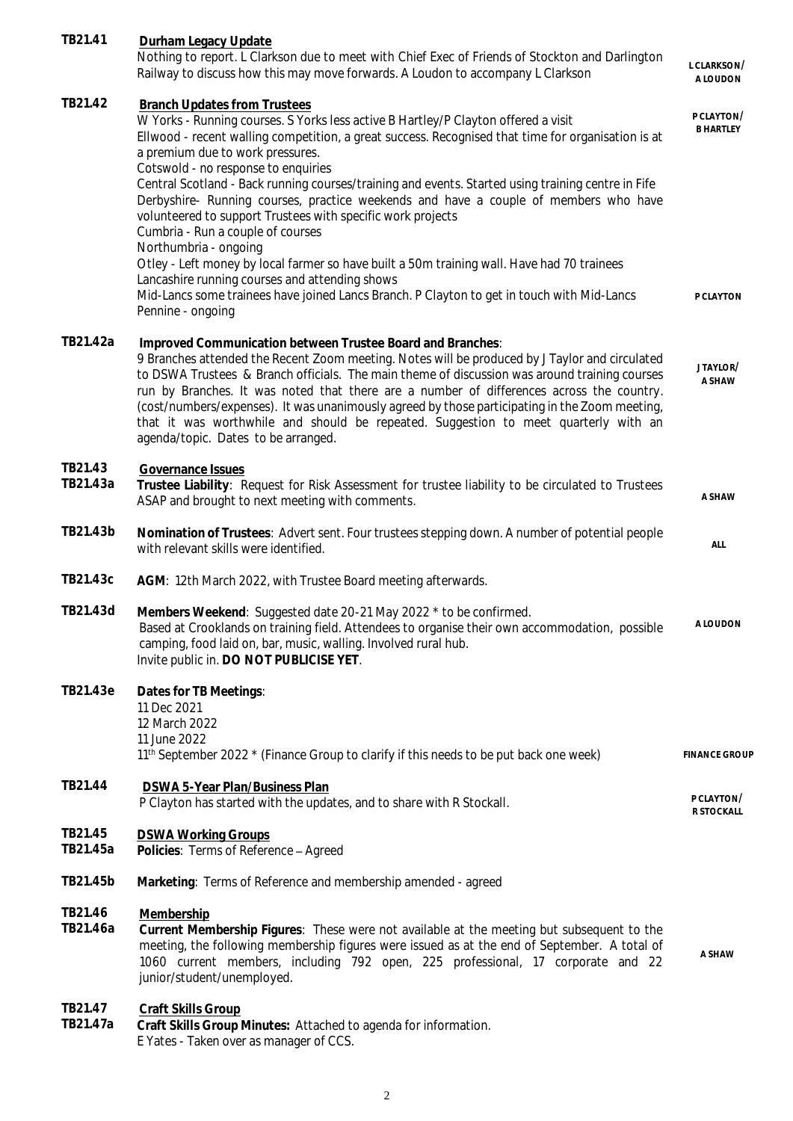| TB21.41             | Durham Legacy Update                                                                                                                                                                                                                                                                                                                                                                                                                                                                                                                                                                                                                                                                                                                                                                                                                                                                                     |                                             |
|---------------------|----------------------------------------------------------------------------------------------------------------------------------------------------------------------------------------------------------------------------------------------------------------------------------------------------------------------------------------------------------------------------------------------------------------------------------------------------------------------------------------------------------------------------------------------------------------------------------------------------------------------------------------------------------------------------------------------------------------------------------------------------------------------------------------------------------------------------------------------------------------------------------------------------------|---------------------------------------------|
|                     | Nothing to report. L Clarkson due to meet with Chief Exec of Friends of Stockton and Darlington<br>Railway to discuss how this may move forwards. A Loudon to accompany L Clarkson                                                                                                                                                                                                                                                                                                                                                                                                                                                                                                                                                                                                                                                                                                                       | L CLARKSON/<br>A LOUDON                     |
| TB21.42             | <b>Branch Updates from Trustees</b><br>W Yorks - Running courses. S Yorks less active B Hartley/P Clayton offered a visit<br>Ellwood - recent walling competition, a great success. Recognised that time for organisation is at<br>a premium due to work pressures.<br>Cotswold - no response to enquiries<br>Central Scotland - Back running courses/training and events. Started using training centre in Fife<br>Derbyshire- Running courses, practice weekends and have a couple of members who have<br>volunteered to support Trustees with specific work projects<br>Cumbria - Run a couple of courses<br>Northumbria - ongoing<br>Otley - Left money by local farmer so have built a 50m training wall. Have had 70 trainees<br>Lancashire running courses and attending shows<br>Mid-Lancs some trainees have joined Lancs Branch. P Clayton to get in touch with Mid-Lancs<br>Pennine - ongoing | P CLAYTON/<br><b>B HARTLEY</b><br>P CLAYTON |
| TB21.42a            | Improved Communication between Trustee Board and Branches:<br>9 Branches attended the Recent Zoom meeting. Notes will be produced by J Taylor and circulated<br>to DSWA Trustees & Branch officials. The main theme of discussion was around training courses<br>run by Branches. It was noted that there are a number of differences across the country.<br>(cost/numbers/expenses). It was unanimously agreed by those participating in the Zoom meeting,<br>that it was worthwhile and should be repeated. Suggestion to meet quarterly with an<br>agenda/topic. Dates to be arranged.                                                                                                                                                                                                                                                                                                                | JTAYLOR/<br>A SHAW                          |
| TB21.43<br>TB21.43a | Governance Issues<br>Trustee Liability: Request for Risk Assessment for trustee liability to be circulated to Trustees<br>ASAP and brought to next meeting with comments.                                                                                                                                                                                                                                                                                                                                                                                                                                                                                                                                                                                                                                                                                                                                | A SHAW                                      |
| TB21.43b            | Nomination of Trustees: Advert sent. Four trustees stepping down. A number of potential people<br>with relevant skills were identified.                                                                                                                                                                                                                                                                                                                                                                                                                                                                                                                                                                                                                                                                                                                                                                  | ALL                                         |
| TB21.43c            | AGM: 12th March 2022, with Trustee Board meeting afterwards.                                                                                                                                                                                                                                                                                                                                                                                                                                                                                                                                                                                                                                                                                                                                                                                                                                             |                                             |
| TB21.43d            | Members Weekend: Suggested date 20-21 May 2022 * to be confirmed.<br>Based at Crooklands on training field. Attendees to organise their own accommodation, possible<br>camping, food laid on, bar, music, walling. Involved rural hub.<br>Invite public in. DO NOT PUBLICISE YET.                                                                                                                                                                                                                                                                                                                                                                                                                                                                                                                                                                                                                        | <b>ALOUDON</b>                              |
| TB21.43e            | Dates for TB Meetings:<br>11 Dec 2021<br>12 March 2022<br>11 June 2022<br>11 <sup>th</sup> September 2022 * (Finance Group to clarify if this needs to be put back one week)                                                                                                                                                                                                                                                                                                                                                                                                                                                                                                                                                                                                                                                                                                                             | <b>FINANCE GROUP</b>                        |
| TB21.44             | DSWA 5-Year Plan/Business Plan<br>P Clayton has started with the updates, and to share with R Stockall.                                                                                                                                                                                                                                                                                                                                                                                                                                                                                                                                                                                                                                                                                                                                                                                                  | P CLAYTON/<br>R STOCKALL                    |
| TB21.45<br>TB21.45a | <b>DSWA Working Groups</b><br>Policies: Terms of Reference - Agreed                                                                                                                                                                                                                                                                                                                                                                                                                                                                                                                                                                                                                                                                                                                                                                                                                                      |                                             |
| TB21.45b            | Marketing: Terms of Reference and membership amended - agreed                                                                                                                                                                                                                                                                                                                                                                                                                                                                                                                                                                                                                                                                                                                                                                                                                                            |                                             |
| TB21.46<br>TB21.46a | Membership<br>Current Membership Figures: These were not available at the meeting but subsequent to the<br>meeting, the following membership figures were issued as at the end of September. A total of<br>1060 current members, including 792 open, 225 professional, 17 corporate and 22<br>junior/student/unemployed.                                                                                                                                                                                                                                                                                                                                                                                                                                                                                                                                                                                 | A SHAW                                      |
| TB21.47<br>TB21.47a | Craft Skills Group<br>Craft Skills Group Minutes: Attached to agenda for information.<br>E Yates - Taken over as manager of CCS.                                                                                                                                                                                                                                                                                                                                                                                                                                                                                                                                                                                                                                                                                                                                                                         |                                             |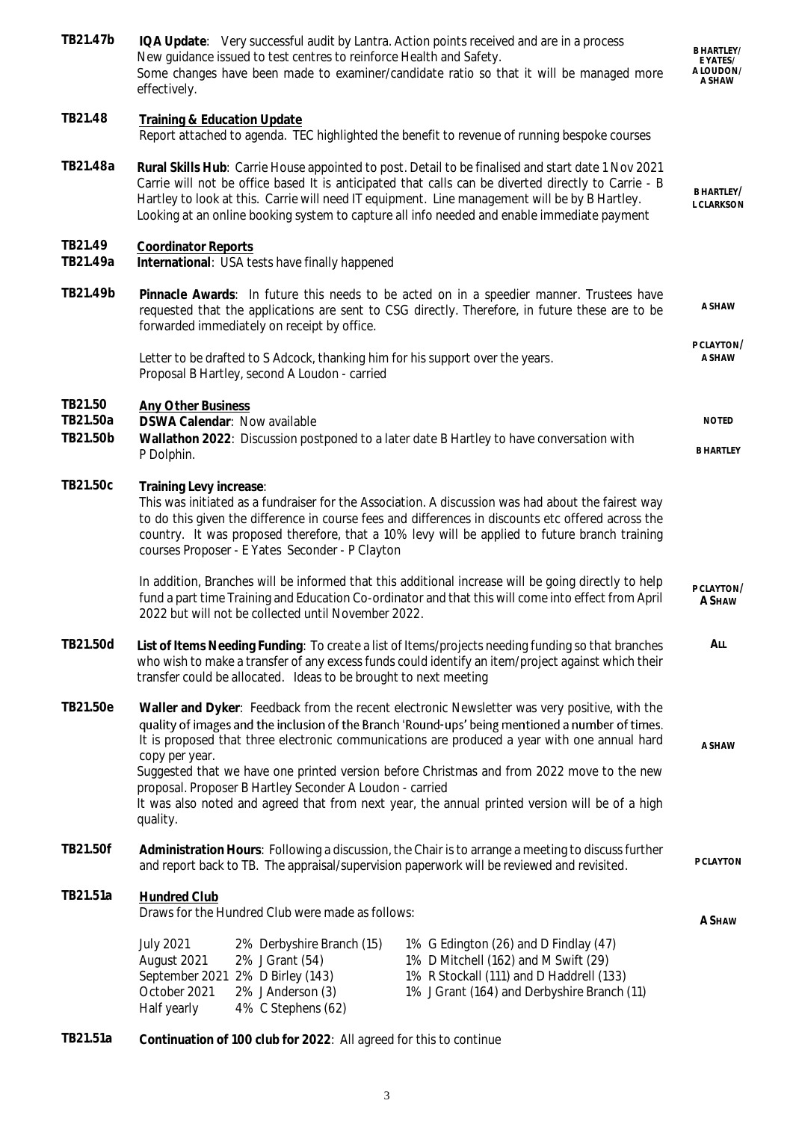| TB21.47b                        | IQA Update: Very successful audit by Lantra. Action points received and are in a process<br>New guidance issued to test centres to reinforce Health and Safety.<br>Some changes have been made to examiner/candidate ratio so that it will be managed more<br>effectively.                                                                                                                                                                                                  |                                                                                                                                                                          | <b>B HARTLEY/</b><br>E YATES/<br>A LOUDON/<br>A SHAW |
|---------------------------------|-----------------------------------------------------------------------------------------------------------------------------------------------------------------------------------------------------------------------------------------------------------------------------------------------------------------------------------------------------------------------------------------------------------------------------------------------------------------------------|--------------------------------------------------------------------------------------------------------------------------------------------------------------------------|------------------------------------------------------|
| TB21.48                         | Training & Education Update<br>Report attached to agenda. TEC highlighted the benefit to revenue of running bespoke courses                                                                                                                                                                                                                                                                                                                                                 |                                                                                                                                                                          |                                                      |
| TB21.48a                        | Rural Skills Hub: Carrie House appointed to post. Detail to be finalised and start date 1 Nov 2021<br>Carrie will not be office based It is anticipated that calls can be diverted directly to Carrie - B<br>Hartley to look at this. Carrie will need IT equipment. Line management will be by B Hartley.<br>Looking at an online booking system to capture all info needed and enable immediate payment                                                                   |                                                                                                                                                                          | B HARTLEY/<br>L CLARKSON                             |
| TB21.49<br>TB21.49a             | <b>Coordinator Reports</b><br>International: USA tests have finally happened                                                                                                                                                                                                                                                                                                                                                                                                |                                                                                                                                                                          |                                                      |
| TB21.49b                        | Pinnacle Awards: In future this needs to be acted on in a speedier manner. Trustees have<br>requested that the applications are sent to CSG directly. Therefore, in future these are to be<br>forwarded immediately on receipt by office.                                                                                                                                                                                                                                   |                                                                                                                                                                          | A SHAW                                               |
|                                 | Letter to be drafted to S Adcock, thanking him for his support over the years.<br>Proposal B Hartley, second A Loudon - carried                                                                                                                                                                                                                                                                                                                                             |                                                                                                                                                                          | P CLAYTON/<br>A SHAW                                 |
| TB21.50<br>TB21.50a<br>TB21.50b | <b>Any Other Business</b><br>DSWA Calendar: Now available<br>Wallathon 2022: Discussion postponed to a later date B Hartley to have conversation with<br>P Dolphin.                                                                                                                                                                                                                                                                                                         |                                                                                                                                                                          | <b>NOTED</b><br><b>B HARTLEY</b>                     |
| TB21.50c                        | Training Levy increase:<br>This was initiated as a fundraiser for the Association. A discussion was had about the fairest way<br>to do this given the difference in course fees and differences in discounts etc offered across the<br>country. It was proposed therefore, that a 10% levy will be applied to future branch training<br>courses Proposer - E Yates Seconder - P Clayton                                                                                     |                                                                                                                                                                          |                                                      |
|                                 | In addition, Branches will be informed that this additional increase will be going directly to help<br>fund a part time Training and Education Co-ordinator and that this will come into effect from April<br>2022 but will not be collected until November 2022.                                                                                                                                                                                                           |                                                                                                                                                                          | P CLAYTON/<br>A SHAW                                 |
| TB21.50d                        | List of Items Needing Funding: To create a list of Items/projects needing funding so that branches<br>who wish to make a transfer of any excess funds could identify an item/project against which their<br>transfer could be allocated. Ideas to be brought to next meeting                                                                                                                                                                                                |                                                                                                                                                                          | All                                                  |
| TB21.50e                        | Waller and Dyker: Feedback from the recent electronic Newsletter was very positive, with the<br>quality of images and the inclusion of the Branch 'Round-ups' being mentioned a number of times.<br>It is proposed that three electronic communications are produced a year with one annual hard<br>copy per year.<br>Suggested that we have one printed version before Christmas and from 2022 move to the new<br>proposal. Proposer B Hartley Seconder A Loudon - carried |                                                                                                                                                                          | A SHAW                                               |
|                                 | It was also noted and agreed that from next year, the annual printed version will be of a high<br>quality.                                                                                                                                                                                                                                                                                                                                                                  |                                                                                                                                                                          |                                                      |
| TB21.50f                        | Administration Hours: Following a discussion, the Chair is to arrange a meeting to discuss further<br>and report back to TB. The appraisal/supervision paperwork will be reviewed and revisited.                                                                                                                                                                                                                                                                            |                                                                                                                                                                          | P CLAYTON                                            |
| TB21.51a                        | <b>Hundred Club</b><br>Draws for the Hundred Club were made as follows:                                                                                                                                                                                                                                                                                                                                                                                                     |                                                                                                                                                                          | A SHAW                                               |
|                                 | <b>July 2021</b><br>2% Derbyshire Branch (15)<br>2% J Grant (54)<br>August 2021<br>September 2021 2% D Birley (143)<br>October 2021<br>2% J Anderson (3)<br>4% C Stephens (62)<br>Half yearly                                                                                                                                                                                                                                                                               | 1% G Edington (26) and D Findlay (47)<br>1% D Mitchell (162) and M Swift (29)<br>1% R Stockall (111) and D Haddrell (133)<br>1% J Grant (164) and Derbyshire Branch (11) |                                                      |

**TB21.51a Continuation of 100 club for 2022**: All agreed for this to continue